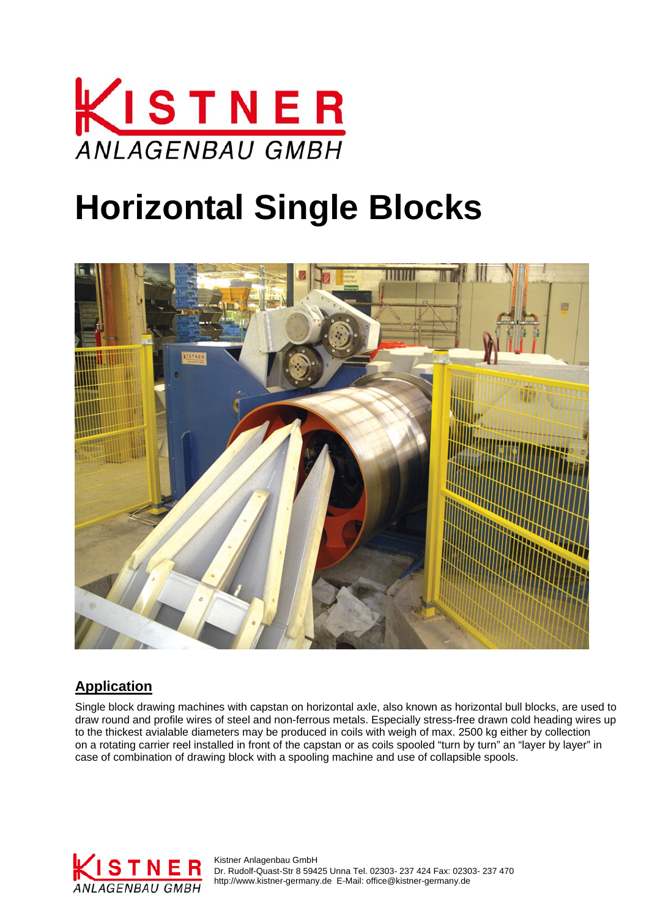

## **Horizontal Single Blocks**



## **Application**

Single block drawing machines with capstan on horizontal axle, also known as horizontal bull blocks, are used to draw round and profile wires of steel and non-ferrous metals. Especially stress-free drawn cold heading wires up to the thickest avialable diameters may be produced in coils with weigh of max. 2500 kg either by collection on a rotating carrier reel installed in front of the capstan or as coils spooled "turn by turn" an "layer by layer" in case of combination of drawing block with a spooling machine and use of collapsible spools.